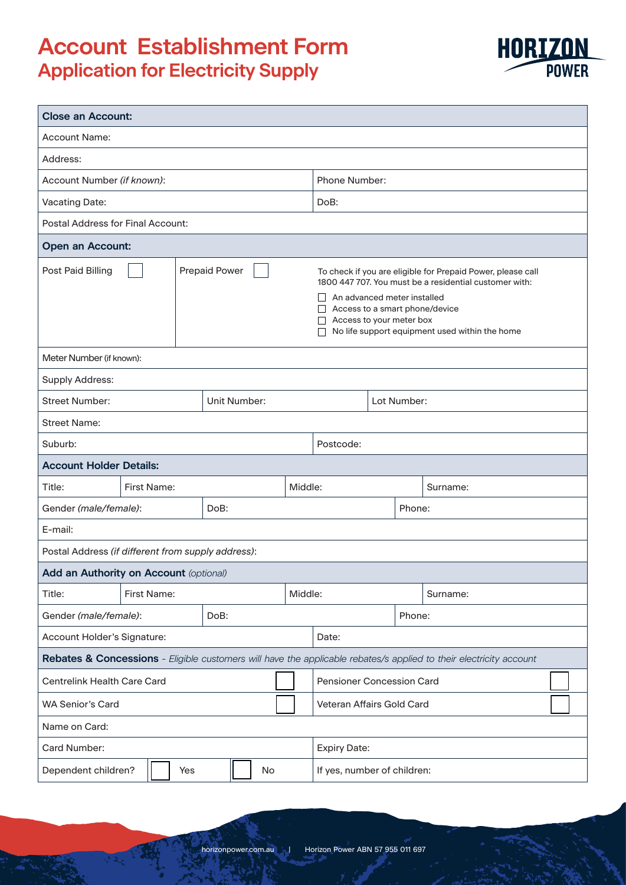# **Account Establishment Form Application for Electricity Supply**

| <b>Close an Account:</b>                           |                      |  |              |  |  |                      |                                                                                                                                                                                                                                                                                      |                             |        |                                                                                                                    |  |
|----------------------------------------------------|----------------------|--|--------------|--|--|----------------------|--------------------------------------------------------------------------------------------------------------------------------------------------------------------------------------------------------------------------------------------------------------------------------------|-----------------------------|--------|--------------------------------------------------------------------------------------------------------------------|--|
| <b>Account Name:</b>                               |                      |  |              |  |  |                      |                                                                                                                                                                                                                                                                                      |                             |        |                                                                                                                    |  |
| Address:                                           |                      |  |              |  |  |                      |                                                                                                                                                                                                                                                                                      |                             |        |                                                                                                                    |  |
| Account Number (if known):                         |                      |  |              |  |  | <b>Phone Number:</b> |                                                                                                                                                                                                                                                                                      |                             |        |                                                                                                                    |  |
| <b>Vacating Date:</b>                              |                      |  |              |  |  | DoB:                 |                                                                                                                                                                                                                                                                                      |                             |        |                                                                                                                    |  |
| <b>Postal Address for Final Account:</b>           |                      |  |              |  |  |                      |                                                                                                                                                                                                                                                                                      |                             |        |                                                                                                                    |  |
| <b>Open an Account:</b>                            |                      |  |              |  |  |                      |                                                                                                                                                                                                                                                                                      |                             |        |                                                                                                                    |  |
| Post Paid Billing                                  | <b>Prepaid Power</b> |  |              |  |  |                      | To check if you are eligible for Prepaid Power, please call<br>1800 447 707. You must be a residential customer with:<br>An advanced meter installed<br>$\mathsf{L}$<br>Access to a smart phone/device<br>Access to your meter box<br>No life support equipment used within the home |                             |        |                                                                                                                    |  |
| Meter Number (if known):                           |                      |  |              |  |  |                      |                                                                                                                                                                                                                                                                                      |                             |        |                                                                                                                    |  |
| Supply Address:                                    |                      |  |              |  |  |                      |                                                                                                                                                                                                                                                                                      |                             |        |                                                                                                                    |  |
| <b>Street Number:</b>                              |                      |  | Unit Number: |  |  |                      |                                                                                                                                                                                                                                                                                      | Lot Number:                 |        |                                                                                                                    |  |
| <b>Street Name:</b>                                |                      |  |              |  |  |                      |                                                                                                                                                                                                                                                                                      |                             |        |                                                                                                                    |  |
| Suburb:                                            |                      |  |              |  |  |                      | Postcode:                                                                                                                                                                                                                                                                            |                             |        |                                                                                                                    |  |
| <b>Account Holder Details:</b>                     |                      |  |              |  |  |                      |                                                                                                                                                                                                                                                                                      |                             |        |                                                                                                                    |  |
| Title:                                             | <b>First Name:</b>   |  |              |  |  | Middle:              |                                                                                                                                                                                                                                                                                      |                             |        | Surname:                                                                                                           |  |
| Gender (male/female):                              |                      |  | DoB:         |  |  |                      |                                                                                                                                                                                                                                                                                      |                             | Phone: |                                                                                                                    |  |
| E-mail:                                            |                      |  |              |  |  |                      |                                                                                                                                                                                                                                                                                      |                             |        |                                                                                                                    |  |
| Postal Address (if different from supply address): |                      |  |              |  |  |                      |                                                                                                                                                                                                                                                                                      |                             |        |                                                                                                                    |  |
| Add an Authority on Account (optional)             |                      |  |              |  |  |                      |                                                                                                                                                                                                                                                                                      |                             |        |                                                                                                                    |  |
| Title:                                             | First Name:          |  |              |  |  | Middle:              |                                                                                                                                                                                                                                                                                      |                             |        | Surname:                                                                                                           |  |
| Gender (male/female):                              | DoB:                 |  |              |  |  |                      |                                                                                                                                                                                                                                                                                      |                             | Phone: |                                                                                                                    |  |
| Account Holder's Signature:                        |                      |  |              |  |  | Date:                |                                                                                                                                                                                                                                                                                      |                             |        |                                                                                                                    |  |
|                                                    |                      |  |              |  |  |                      |                                                                                                                                                                                                                                                                                      |                             |        | Rebates & Concessions - Eligible customers will have the applicable rebates/s applied to their electricity account |  |
| Centrelink Health Care Card                        |                      |  |              |  |  |                      | Pensioner Concession Card                                                                                                                                                                                                                                                            |                             |        |                                                                                                                    |  |
| <b>WA Senior's Card</b>                            |                      |  |              |  |  |                      | Veteran Affairs Gold Card                                                                                                                                                                                                                                                            |                             |        |                                                                                                                    |  |
| Name on Card:                                      |                      |  |              |  |  |                      |                                                                                                                                                                                                                                                                                      |                             |        |                                                                                                                    |  |
| Card Number:                                       |                      |  |              |  |  | <b>Expiry Date:</b>  |                                                                                                                                                                                                                                                                                      |                             |        |                                                                                                                    |  |
| Dependent children?<br>No<br>Yes                   |                      |  |              |  |  |                      |                                                                                                                                                                                                                                                                                      | If yes, number of children: |        |                                                                                                                    |  |

**HORIZON**<br>POWER